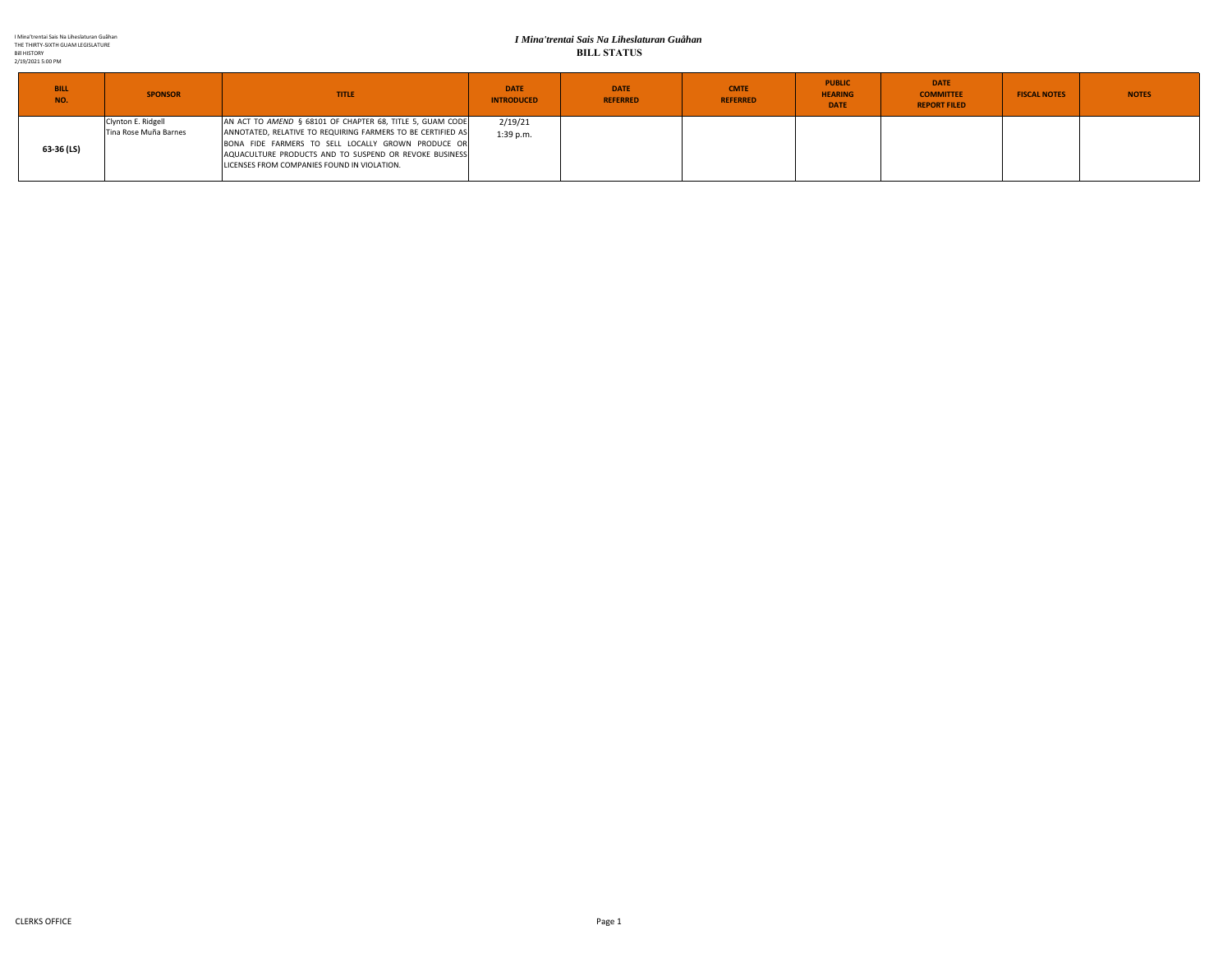#### *I Mina'trentai Sais Na Liheslaturan Guåhan* **BILL STATUS**

| <b>BILL</b><br>NO. | <b>SPONSOR</b>        | <b>TITLE</b>                                                | <b>DATE</b><br><b>INTRODUCED</b> | <b>DATE</b><br><b>REFERRED</b> | <b>CMTE</b><br><b>REFERRED</b> | <b>PUBLIC</b><br><b>HEARING</b><br><b>DATE</b> | <b>DATE</b><br><b>COMMITTEE</b><br><b>REPORT FILED</b> | <b>FISCAL NOTES</b> | <b>NOTES</b> |
|--------------------|-----------------------|-------------------------------------------------------------|----------------------------------|--------------------------------|--------------------------------|------------------------------------------------|--------------------------------------------------------|---------------------|--------------|
| 63-36 (LS)         | Clynton E. Ridgell    | AN ACT TO AMEND § 68101 OF CHAPTER 68, TITLE 5, GUAM CODE   | 2/19/21                          |                                |                                |                                                |                                                        |                     |              |
|                    | Tina Rose Muña Barnes | ANNOTATED, RELATIVE TO REQUIRING FARMERS TO BE CERTIFIED AS | $1:39$ p.m.                      |                                |                                |                                                |                                                        |                     |              |
|                    |                       | BONA FIDE FARMERS TO SELL LOCALLY GROWN PRODUCE OR          |                                  |                                |                                |                                                |                                                        |                     |              |
|                    |                       | AQUACULTURE PRODUCTS AND TO SUSPEND OR REVOKE BUSINESS      |                                  |                                |                                |                                                |                                                        |                     |              |
|                    |                       | LICENSES FROM COMPANIES FOUND IN VIOLATION.                 |                                  |                                |                                |                                                |                                                        |                     |              |
|                    |                       |                                                             |                                  |                                |                                |                                                |                                                        |                     |              |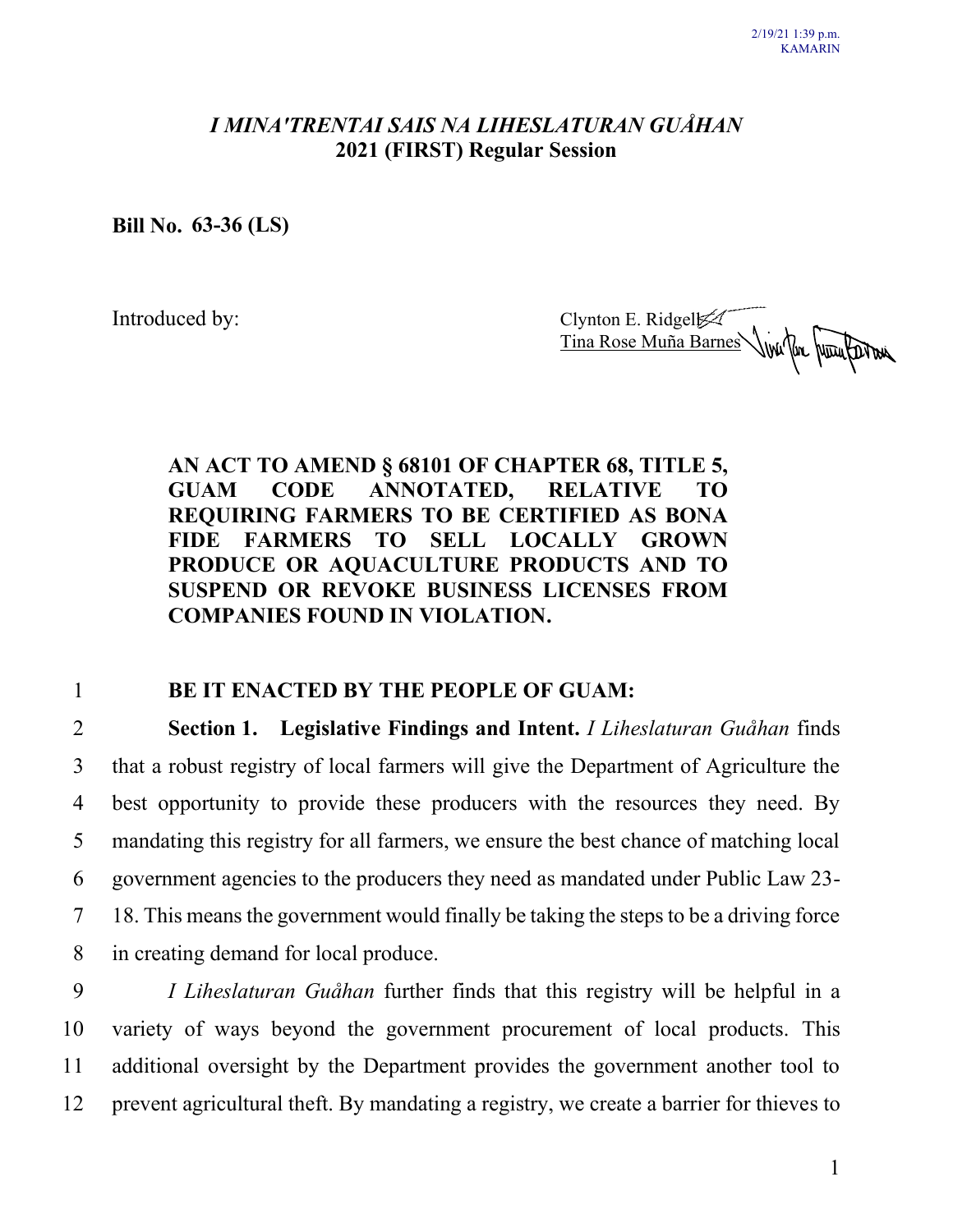## *I MINA′TRENTAI SAIS NA LIHESLATURAN GUÅHAN* **2021 (FIRST) Regular Session**

**Bill No. 63-36 (LS)**

Introduced by: Clynton E. Ridgel Tina Rose Muña Barnes

## **AN ACT TO AMEND § 68101 OF CHAPTER 68, TITLE 5, GUAM CODE ANNOTATED, RELATIVE TO REQUIRING FARMERS TO BE CERTIFIED AS BONA FIDE FARMERS TO SELL LOCALLY GROWN PRODUCE OR AQUACULTURE PRODUCTS AND TO SUSPEND OR REVOKE BUSINESS LICENSES FROM COMPANIES FOUND IN VIOLATION.**

#### 1 **BE IT ENACTED BY THE PEOPLE OF GUAM:**

 **Section 1. Legislative Findings and Intent.** *I Liheslaturan Guåhan* finds that a robust registry of local farmers will give the Department of Agriculture the best opportunity to provide these producers with the resources they need. By mandating this registry for all farmers, we ensure the best chance of matching local government agencies to the producers they need as mandated under Public Law 23- 18. This means the government would finally be taking the steps to be a driving force in creating demand for local produce.

 *I Liheslaturan Guåhan* further finds that this registry will be helpful in a variety of ways beyond the government procurement of local products. This additional oversight by the Department provides the government another tool to prevent agricultural theft. By mandating a registry, we create a barrier for thieves to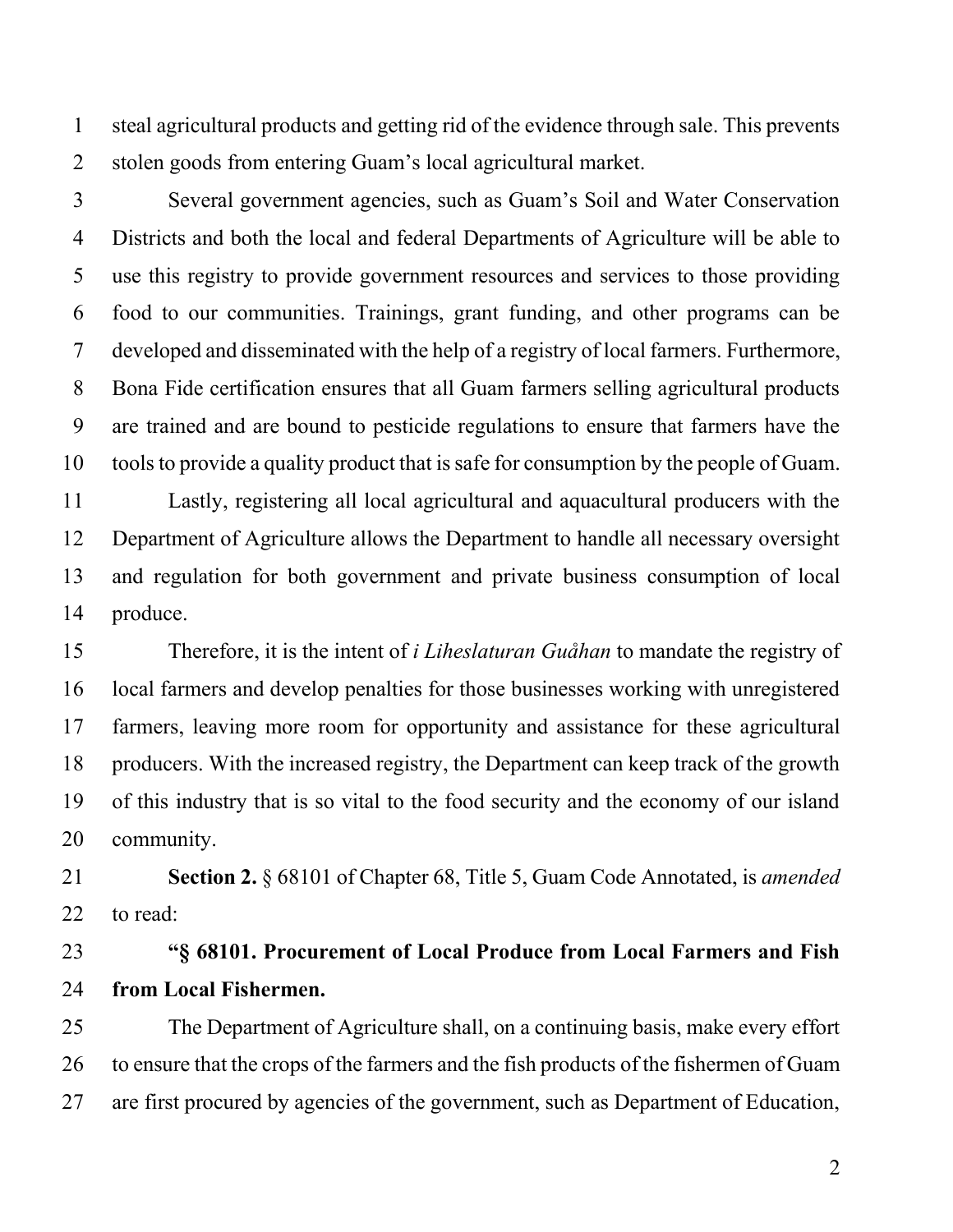steal agricultural products and getting rid of the evidence through sale. This prevents stolen goods from entering Guam's local agricultural market.

 Several government agencies, such as Guam's Soil and Water Conservation Districts and both the local and federal Departments of Agriculture will be able to use this registry to provide government resources and services to those providing food to our communities. Trainings, grant funding, and other programs can be developed and disseminated with the help of a registry of local farmers. Furthermore, Bona Fide certification ensures that all Guam farmers selling agricultural products are trained and are bound to pesticide regulations to ensure that farmers have the tools to provide a quality product that is safe for consumption by the people of Guam.

 Lastly, registering all local agricultural and aquacultural producers with the Department of Agriculture allows the Department to handle all necessary oversight and regulation for both government and private business consumption of local produce.

 Therefore, it is the intent of *i Liheslaturan Guåhan* to mandate the registry of local farmers and develop penalties for those businesses working with unregistered farmers, leaving more room for opportunity and assistance for these agricultural producers. With the increased registry, the Department can keep track of the growth of this industry that is so vital to the food security and the economy of our island community.

 **Section 2.** § 68101 of Chapter 68, Title 5, Guam Code Annotated, is *amended* to read:

# **"§ 68101. Procurement of Local Produce from Local Farmers and Fish from Local Fishermen.**

 The Department of Agriculture shall, on a continuing basis, make every effort to ensure that the crops of the farmers and the fish products of the fishermen of Guam are first procured by agencies of the government, such as Department of Education,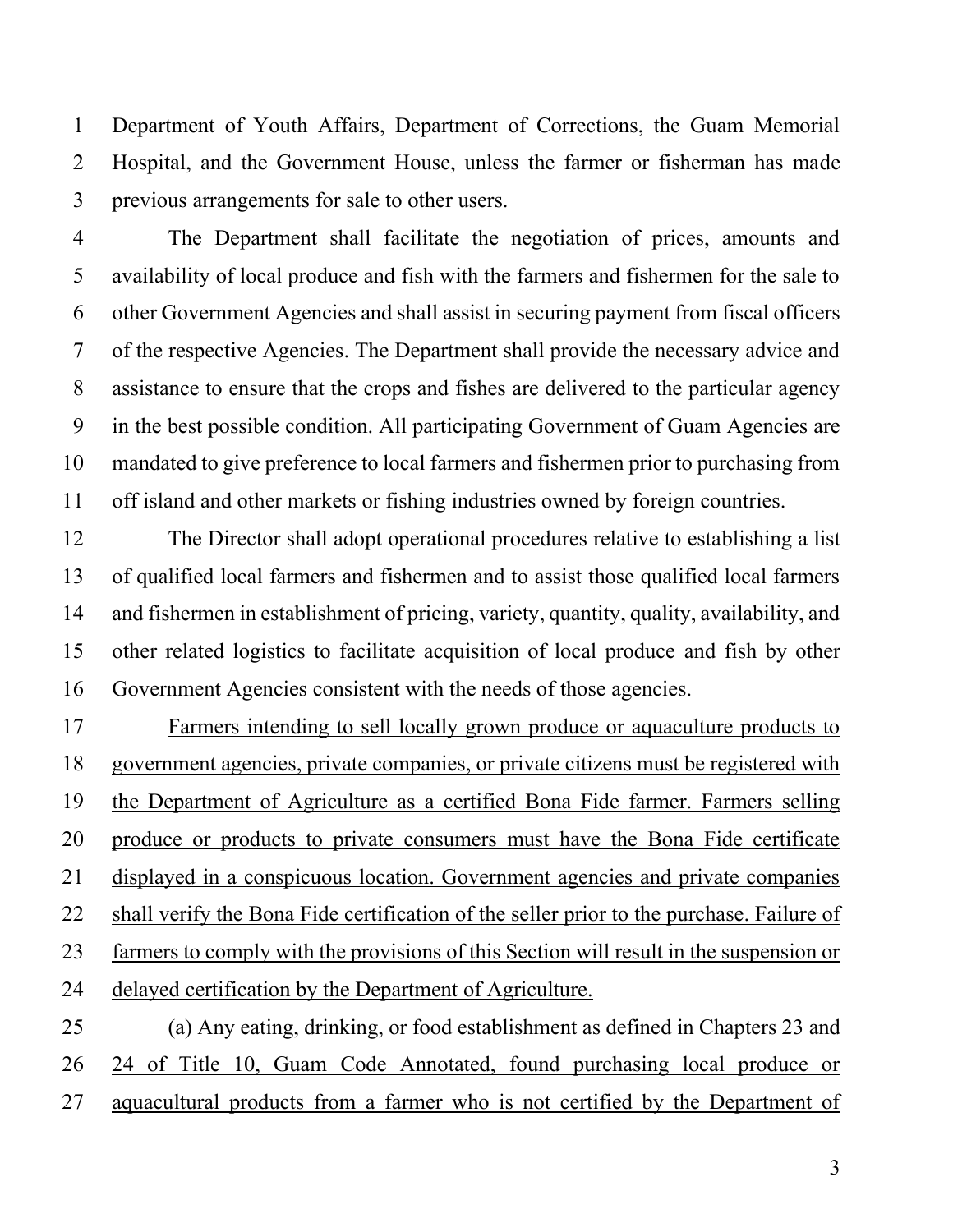Department of Youth Affairs, Department of Corrections, the Guam Memorial Hospital, and the Government House, unless the farmer or fisherman has made previous arrangements for sale to other users.

 The Department shall facilitate the negotiation of prices, amounts and availability of local produce and fish with the farmers and fishermen for the sale to other Government Agencies and shall assist in securing payment from fiscal officers of the respective Agencies. The Department shall provide the necessary advice and assistance to ensure that the crops and fishes are delivered to the particular agency in the best possible condition. All participating Government of Guam Agencies are mandated to give preference to local farmers and fishermen prior to purchasing from off island and other markets or fishing industries owned by foreign countries.

 The Director shall adopt operational procedures relative to establishing a list of qualified local farmers and fishermen and to assist those qualified local farmers and fishermen in establishment of pricing, variety, quantity, quality, availability, and other related logistics to facilitate acquisition of local produce and fish by other Government Agencies consistent with the needs of those agencies.

 Farmers intending to sell locally grown produce or aquaculture products to government agencies, private companies, or private citizens must be registered with the Department of Agriculture as a certified Bona Fide farmer. Farmers selling produce or products to private consumers must have the Bona Fide certificate displayed in a conspicuous location. Government agencies and private companies shall verify the Bona Fide certification of the seller prior to the purchase. Failure of farmers to comply with the provisions of this Section will result in the suspension or delayed certification by the Department of Agriculture. (a) Any eating, drinking, or food establishment as defined in Chapters 23 and

 24 of Title 10, Guam Code Annotated, found purchasing local produce or 27 aquacultural products from a farmer who is not certified by the Department of